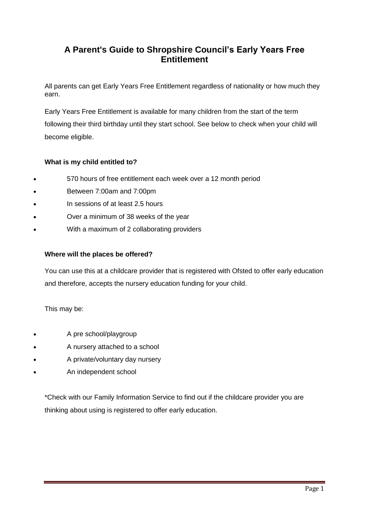# **A Parent's Guide to Shropshire Council's Early Years Free Entitlement**

All parents can get Early Years Free Entitlement regardless of nationality or how much they earn.

Early Years Free Entitlement is available for many children from the start of the term following their third birthday until they start school. See below to check when your child will become eligible.

## **What is my child entitled to?**

- 570 hours of free entitlement each week over a 12 month period
- Between 7:00am and 7:00pm
- In sessions of at least 2.5 hours
- Over a minimum of 38 weeks of the year
- With a maximum of 2 collaborating providers

### **Where will the places be offered?**

You can use this at a childcare provider that is registered with Ofsted to offer early education and therefore, accepts the nursery education funding for your child.

This may be:

- A pre school/playgroup
- A nursery attached to a school
- A private/voluntary day nursery
- An independent school

\*Check with our Family Information Service to find out if the childcare provider you are thinking about using is registered to offer early education.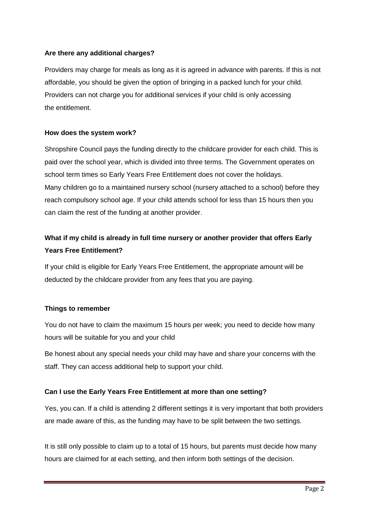## **Are there any additional charges?**

Providers may charge for meals as long as it is agreed in advance with parents. If this is not affordable, you should be given the option of bringing in a packed lunch for your child. Providers can not charge you for additional services if your child is only accessing the entitlement.

## **How does the system work?**

Shropshire Council pays the funding directly to the childcare provider for each child. This is paid over the school year, which is divided into three terms. The Government operates on school term times so Early Years Free Entitlement does not cover the holidays. Many children go to a maintained nursery school (nursery attached to a school) before they reach compulsory school age. If your child attends school for less than 15 hours then you can claim the rest of the funding at another provider.

# **What if my child is already in full time nursery or another provider that offers Early Years Free Entitlement?**

If your child is eligible for Early Years Free Entitlement, the appropriate amount will be deducted by the childcare provider from any fees that you are paying.

### **Things to remember**

You do not have to claim the maximum 15 hours per week; you need to decide how many hours will be suitable for you and your child

Be honest about any special needs your child may have and share your concerns with the staff. They can access additional help to support your child.

## **Can I use the Early Years Free Entitlement at more than one setting?**

Yes, you can. If a child is attending 2 different settings it is very important that both providers are made aware of this, as the funding may have to be split between the two settings.

It is still only possible to claim up to a total of 15 hours, but parents must decide how many hours are claimed for at each setting, and then inform both settings of the decision.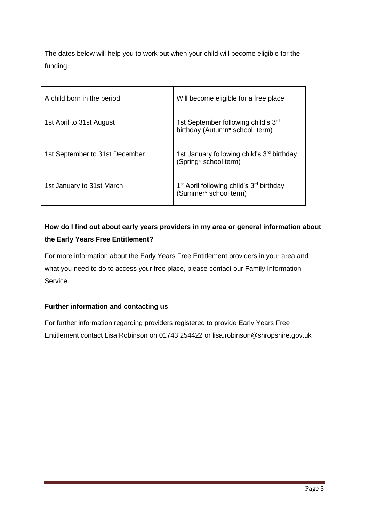The dates below will help you to work out when your child will become eligible for the funding.

| A child born in the period     | Will become eligible for a free place                                                     |
|--------------------------------|-------------------------------------------------------------------------------------------|
| 1st April to 31st August       | 1st September following child's 3 <sup>rd</sup><br>birthday (Autumn* school term)         |
| 1st September to 31st December | 1st January following child's 3 <sup>rd</sup> birthday<br>(Spring* school term)           |
| 1st January to 31st March      | 1 <sup>st</sup> April following child's 3 <sup>rd</sup> birthday<br>(Summer* school term) |

# **How do I find out about early years providers in my area or general information about the Early Years Free Entitlement?**

For more information about the Early Years Free Entitlement providers in your area and what you need to do to access your free place, please contact our Family Information Service.

## **Further information and contacting us**

For further information regarding providers registered to provide Early Years Free Entitlement contact Lisa Robinson on 01743 254422 or lisa.robinson@shropshire.gov.uk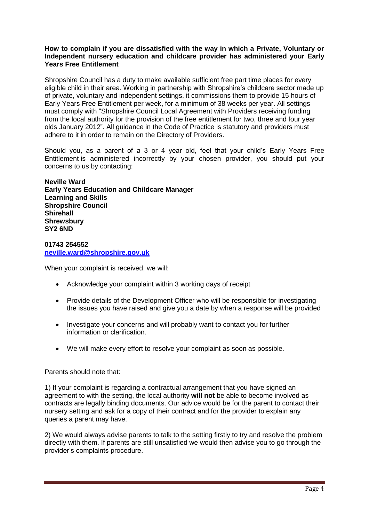#### **How to complain if you are dissatisfied with the way in which a Private, Voluntary or Independent nursery education and childcare provider has administered your Early Years Free Entitlement**

Shropshire Council has a duty to make available sufficient free part time places for every eligible child in their area. Working in partnership with Shropshire's childcare sector made up of private, voluntary and independent settings, it commissions them to provide 15 hours of Early Years Free Entitlement per week, for a minimum of 38 weeks per year. All settings must comply with "Shropshire Council Local Agreement with Providers receiving funding from the local authority for the provision of the free entitlement for two, three and four year olds January 2012". All guidance in the Code of Practice is statutory and providers must adhere to it in order to remain on the Directory of Providers.

Should you, as a parent of a 3 or 4 year old, feel that your child's Early Years Free Entitlement is administered incorrectly by your chosen provider, you should put your concerns to us by contacting:

**Neville Ward Early Years Education and Childcare Manager Learning and Skills Shropshire Council Shirehall Shrewsbury SY2 6ND**

**01743 254552 [neville.ward@shropshire.gov.uk](mailto:neville.ward@shropshire.gov.uk)**

When your complaint is received, we will:

- Acknowledge your complaint within 3 working days of receipt
- Provide details of the Development Officer who will be responsible for investigating the issues you have raised and give you a date by when a response will be provided
- Investigate your concerns and will probably want to contact you for further information or clarification.
- We will make every effort to resolve your complaint as soon as possible.

### Parents should note that:

1) If your complaint is regarding a contractual arrangement that you have signed an agreement to with the setting, the local authority **will not** be able to become involved as contracts are legally binding documents. Our advice would be for the parent to contact their nursery setting and ask for a copy of their contract and for the provider to explain any queries a parent may have.

2) We would always advise parents to talk to the setting firstly to try and resolve the problem directly with them. If parents are still unsatisfied we would then advise you to go through the provider's complaints procedure.